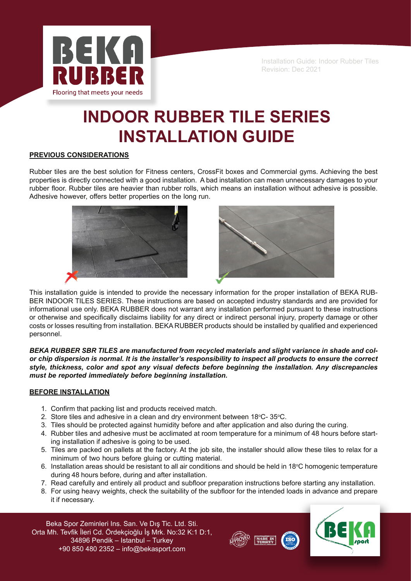

# **INDOOR RUBBER TILE SERIES INSTALLATION GUIDE**

# **PREVIOUS CONSIDERATIONS**

Rubber tiles are the best solution for Fitness centers, CrossFit boxes and Commercial gyms. Achieving the best properties is directly connected with a good installation. A bad installation can mean unnecessary damages to your rubber floor. Rubber tiles are heavier than rubber rolls, which means an installation without adhesive is possible. Adhesive however, offers better properties on the long run.





This installation guide is intended to provide the necessary information for the proper installation of BEKA RUB-BER INDOOR TILES SERIES. These instructions are based on accepted industry standards and are provided for informational use only. BEKA RUBBER does not warrant any installation performed pursuant to these instructions or otherwise and specifically disclaims liability for any direct or indirect personal injury, property damage or other costs or losses resulting from installation. BEKA RUBBER products should be installed by qualified and experienced personnel.

*BEKA RUBBER SBR TILES are manufactured from recycled materials and slight variance in shade and color chip dispersion is normal. It is the installer's responsibility to inspect all products to ensure the correct style, thickness, color and spot any visual defects before beginning the installation. Any discrepancies must be reported immediately before beginning installation.*

# **BEFORE INSTALLATION**

- 1. Confirm that packing list and products received match.
- 2. Store tiles and adhesive in a clean and dry environment between  $18^{\circ}$ C-  $35^{\circ}$ C.
- 3. Tiles should be protected against humidity before and after application and also during the curing.
- 4. Rubber tiles and adhesive must be acclimated at room temperature for a minimum of 48 hours before starting installation if adhesive is going to be used.
- 5. Tiles are packed on pallets at the factory. At the job site, the installer should allow these tiles to relax for a minimum of two hours before gluing or cutting material.
- 6. Installation areas should be resistant to all air conditions and should be held in 18 $\degree$ C homogenic temperature during 48 hours before, during and after installation.
- 7. Read carefully and entirely all product and subfloor preparation instructions before starting any installation.
- 8. For using heavy weights, check the suitability of the subfloor for the intended loads in advance and prepare it if necessary.



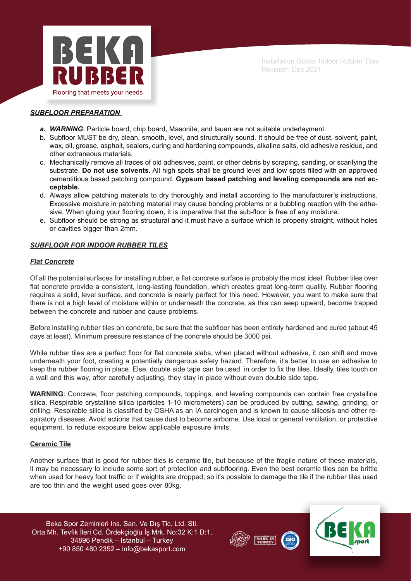

# *SUBFLOOR PREPARATION*

- *a. WARNING*: Particle board, chip board, Masonite, and lauan are not suitable underlayment.
- b. Subfloor MUST be dry, clean, smooth, level, and structurally sound. It should be free of dust, solvent, paint, wax, oil, grease, asphalt, sealers, curing and hardening compounds, alkaline salts, old adhesive residue, and other extraneous materials,
- c. Mechanically remove all traces of old adhesives, paint, or other debris by scraping, sanding, or scarifying the substrate. **Do not use solvents.** All high spots shall be ground level and low spots filled with an approved cementitious based patching compound. **Gypsum based patching and leveling compounds are not acceptable.**
- d. Always allow patching materials to dry thoroughly and install according to the manufacturer's instructions. Excessive moisture in patching material may cause bonding problems or a bubbling reaction with the adhesive. When gluing your flooring down, it is imperative that the sub-floor is free of any moisture.
- e. Subfloor should be strong as structural and it must have a surface which is properly straight, without holes or cavities bigger than 2mm.

# *SUBFLOOR FOR INDOOR RUBBER TILES*

# *Flat Concrete*

Of all the potential surfaces for installing rubber, a flat concrete surface is probably the most ideal. Rubber tiles over flat concrete provide a consistent, long-lasting foundation, which creates great long-term quality. Rubber flooring requires a solid, level surface, and concrete is nearly perfect for this need. However, you want to make sure that there is not a high level of moisture within or underneath the concrete, as this can seep upward, become trapped between the concrete and rubber and cause problems.

Before installing rubber tiles on concrete, be sure that the subfloor has been entirely hardened and cured (about 45 days at least). Minimum pressure resistance of the concrete should be 3000 psi.

While rubber tiles are a perfect floor for flat concrete slabs, when placed without adhesive, it can shift and move underneath your foot, creating a potentially dangerous safety hazard. Therefore, it's better to use an adhesive to keep the rubber flooring in place. Else, double side tape can be used in order to fix the tiles. Ideally, tiles touch on a wall and this way, after carefully adjusting, they stay in place without even double side tape.

**WARNING**: Concrete, floor patching compounds, toppings, and leveling compounds can contain free crystalline silica. Respirable crystalline silica (particles 1-10 micrometers) can be produced by cutting, sawing, grinding, or drilling. Respirable silica is classified by OSHA as an IA carcinogen and is known to cause silicosis and other respiratory diseases. Avoid actions that cause dust to become airborne. Use local or general ventilation, or protective equipment, to reduce exposure below applicable exposure limits.

#### **Ceramic Tile**

Another surface that is good for rubber tiles is ceramic tile, but because of the fragile nature of these materials, it may be necessary to include some sort of protection and subflooring. Even the best ceramic tiles can be brittle when used for heavy foot traffic or if weights are dropped, so it's possible to damage the tile if the rubber tiles used are too thin and the weight used goes over 80kg.

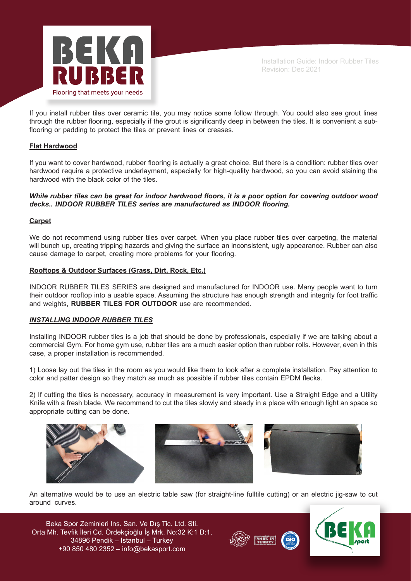

If you install rubber tiles over ceramic tile, you may notice some follow through. You could also see grout lines through the rubber flooring, especially if the grout is significantly deep in between the tiles. It is convenient a subflooring or padding to protect the tiles or prevent lines or creases.

# **Flat Hardwood**

If you want to cover hardwood, rubber flooring is actually a great choice. But there is a condition: rubber tiles over hardwood require a protective underlayment, especially for high-quality hardwood, so you can avoid staining the hardwood with the black color of the tiles.

# *While rubber tiles can be great for indoor hardwood floors, it is a poor option for covering outdoor wood decks.. INDOOR RUBBER TILES series are manufactured as INDOOR flooring.*

# **Carpet**

We do not recommend using rubber tiles over carpet. When you place rubber tiles over carpeting, the material will bunch up, creating tripping hazards and giving the surface an inconsistent, ugly appearance. Rubber can also cause damage to carpet, creating more problems for your flooring.

# **Rooftops & Outdoor Surfaces (Grass, Dirt, Rock, Etc.)**

INDOOR RUBBER TILES SERIES are designed and manufactured for INDOOR use. Many people want to turn their outdoor rooftop into a usable space. Assuming the structure has enough strength and integrity for foot traffic and weights, **RUBBER TILES FOR OUTDOOR** use are recommended.

# *INSTALLING INDOOR RUBBER TILES*

Installing INDOOR rubber tiles is a job that should be done by professionals, especially if we are talking about a commercial Gym. For home gym use, rubber tiles are a much easier option than rubber rolls. However, even in this case, a proper installation is recommended.

1) Loose lay out the tiles in the room as you would like them to look after a complete installation. Pay attention to color and patter design so they match as much as possible if rubber tiles contain EPDM flecks.

2) If cutting the tiles is necessary, accuracy in measurement is very important. Use a Straight Edge and a Utility Knife with a fresh blade. We recommend to cut the tiles slowly and steady in a place with enough light an space so appropriate cutting can be done.



An alternative would be to use an electric table saw (for straight-line fulltile cutting) or an electric jig-saw to cut around curves.



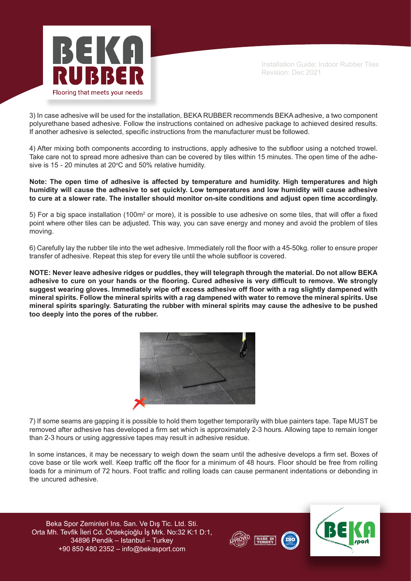

3) In case adhesive will be used for the installation, BEKA RUBBER recommends BEKA adhesive, a two component polyurethane based adhesive. Follow the instructions contained on adhesive package to achieved desired results. If another adhesive is selected, specific instructions from the manufacturer must be followed.

4) After mixing both components according to instructions, apply adhesive to the subfloor using a notched trowel. Take care not to spread more adhesive than can be covered by tiles within 15 minutes. The open time of the adhesive is 15 - 20 minutes at 20 $\degree$ C and 50% relative humidity.

**Note: The open time of adhesive is affected by temperature and humidity. High temperatures and high humidity will cause the adhesive to set quickly. Low temperatures and low humidity will cause adhesive to cure at a slower rate. The installer should monitor on-site conditions and adjust open time accordingly.** 

5) For a big space installation (100m<sup>2</sup> or more), it is possible to use adhesive on some tiles, that will offer a fixed point where other tiles can be adjusted. This way, you can save energy and money and avoid the problem of tiles moving.

6) Carefully lay the rubber tile into the wet adhesive. Immediately roll the floor with a 45-50kg. roller to ensure proper transfer of adhesive. Repeat this step for every tile until the whole subfloor is covered.

**NOTE: Never leave adhesive ridges or puddles, they will telegraph through the material. Do not allow BEKA adhesive to cure on your hands or the flooring. Cured adhesive is very difficult to remove. We strongly suggest wearing gloves. Immediately wipe off excess adhesive off floor with a rag slightly dampened with mineral spirits. Follow the mineral spirits with a rag dampened with water to remove the mineral spirits. Use mineral spirits sparingly. Saturating the rubber with mineral spirits may cause the adhesive to be pushed too deeply into the pores of the rubber.**



7) If some seams are gapping it is possible to hold them together temporarily with blue painters tape. Tape MUST be removed after adhesive has developed a firm set which is approximately 2-3 hours. Allowing tape to remain longer than 2-3 hours or using aggressive tapes may result in adhesive residue.

In some instances, it may be necessary to weigh down the seam until the adhesive develops a firm set. Boxes of cove base or tile work well. Keep traffic off the floor for a minimum of 48 hours. Floor should be free from rolling loads for a minimum of 72 hours. Foot traffic and rolling loads can cause permanent indentations or debonding in the uncured adhesive.